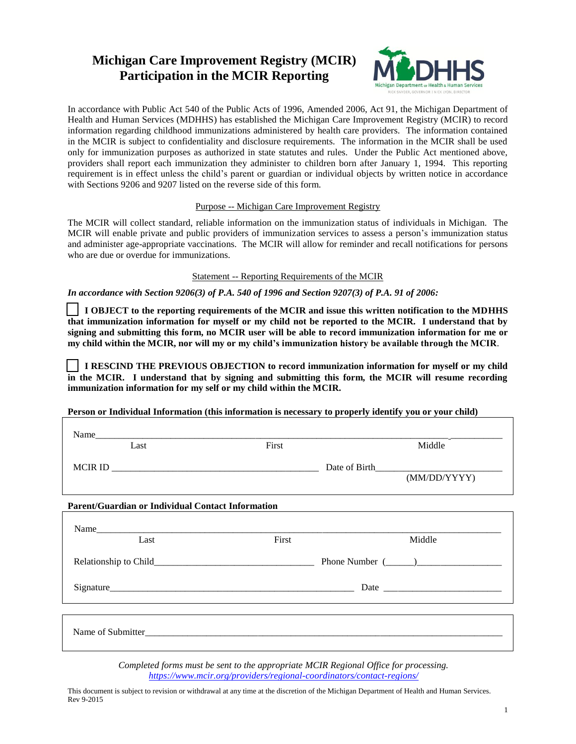# **Michigan Care Improvement Registry (MCIR) Participation in the MCIR Reporting**



In accordance with Public Act 540 of the Public Acts of 1996, Amended 2006, Act 91, the Michigan Department of Health and Human Services (MDHHS) has established the Michigan Care Improvement Registry (MCIR) to record information regarding childhood immunizations administered by health care providers. The information contained in the MCIR is subject to confidentiality and disclosure requirements. The information in the MCIR shall be used only for immunization purposes as authorized in state statutes and rules. Under the Public Act mentioned above, providers shall report each immunization they administer to children born after January 1, 1994. This reporting requirement is in effect unless the child's parent or guardian or individual objects by written notice in accordance with Sections 9206 and 9207 listed on the reverse side of this form.

#### Purpose -- Michigan Care Improvement Registry

The MCIR will collect standard, reliable information on the immunization status of individuals in Michigan. The MCIR will enable private and public providers of immunization services to assess a person's immunization status and administer age-appropriate vaccinations. The MCIR will allow for reminder and recall notifications for persons who are due or overdue for immunizations.

#### Statement -- Reporting Requirements of the MCIR

*In accordance with Section 9206(3) of P.A. 540 of 1996 and Section 9207(3) of P.A. 91 of 2006:* 

 **I OBJECT to the reporting requirements of the MCIR and issue this written notification to the MDHHS that immunization information for myself or my child not be reported to the MCIR. I understand that by signing and submitting this form, no MCIR user will be able to record immunization information for me or my child within the MCIR, nor will my or my child's immunization history be available through the MCIR**.

 **I RESCIND THE PREVIOUS OBJECTION to record immunization information for myself or my child in the MCIR. I understand that by signing and submitting this form, the MCIR will resume recording immunization information for my self or my child within the MCIR.**

**Person or Individual Information (this information is necessary to properly identify you or your child)**

| Name                                                     |       |                                           |
|----------------------------------------------------------|-------|-------------------------------------------|
| Last                                                     | First | Middle                                    |
|                                                          |       |                                           |
|                                                          |       | (MM/DD/YYYY)                              |
| <b>Parent/Guardian or Individual Contact Information</b> |       |                                           |
| Name                                                     |       |                                           |
| Last                                                     | First | Middle                                    |
|                                                          |       | Relationship to Child Phone Number (2002) |
|                                                          |       |                                           |
|                                                          |       |                                           |
|                                                          |       |                                           |

*Completed forms must be sent to the appropriate MCIR Regional Office for processing. <https://www.mcir.org/providers/regional-coordinators/contact-regions/>*

This document is subject to revision or withdrawal at any time at the discretion of the Michigan Department of Health and Human Services. Rev 9-2015